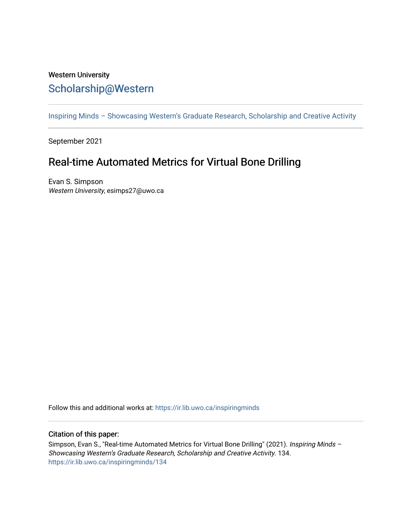## Western University [Scholarship@Western](https://ir.lib.uwo.ca/)

[Inspiring Minds – Showcasing Western's Graduate Research, Scholarship and Creative Activity](https://ir.lib.uwo.ca/inspiringminds) 

September 2021

## Real-time Automated Metrics for Virtual Bone Drilling

Evan S. Simpson Western University, esimps27@uwo.ca

Follow this and additional works at: [https://ir.lib.uwo.ca/inspiringminds](https://ir.lib.uwo.ca/inspiringminds?utm_source=ir.lib.uwo.ca%2Finspiringminds%2F134&utm_medium=PDF&utm_campaign=PDFCoverPages) 

## Citation of this paper:

Simpson, Evan S., "Real-time Automated Metrics for Virtual Bone Drilling" (2021). Inspiring Minds -Showcasing Western's Graduate Research, Scholarship and Creative Activity. 134. [https://ir.lib.uwo.ca/inspiringminds/134](https://ir.lib.uwo.ca/inspiringminds/134?utm_source=ir.lib.uwo.ca%2Finspiringminds%2F134&utm_medium=PDF&utm_campaign=PDFCoverPages)